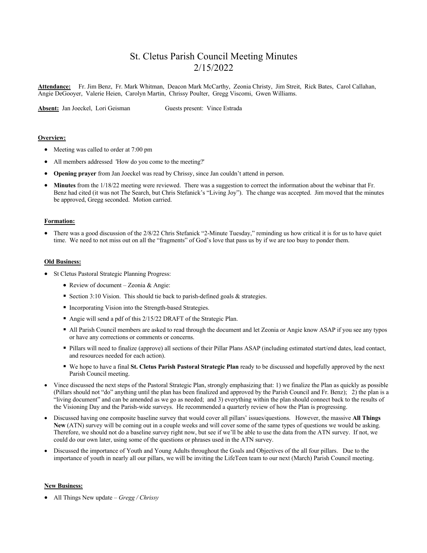# St. Cletus Parish Council Meeting Minutes 2/15/2022

**Attendance:** Fr. Jim Benz, Fr. Mark Whitman, Deacon Mark McCarthy, Zeonia Christy, Jim Streit, Rick Bates, Carol Callahan, Angie DeGooyer, Valerie Heien, Carolyn Martin, Chrissy Poulter, Gregg Viscomi, Gwen Williams.

**Absent:** Jan Joeckel, Lori Geisman Guests present: Vince Estrada

### **Overview:**

- Meeting was called to order at 7:00 pm
- All members addressed 'How do you come to the meeting?'
- **Opening prayer** from Jan Joeckel was read by Chrissy, since Jan couldn't attend in person.
- **Minutes** from the 1/18/22 meeting were reviewed. There was a suggestion to correct the information about the webinar that Fr. Benz had cited (it was not The Search, but Chris Stefanick's "Living Joy"). The change was accepted. Jim moved that the minutes be approved, Gregg seconded. Motion carried.

#### **Formation:**

• There was a good discussion of the 2/8/22 Chris Stefanick "2-Minute Tuesday," reminding us how critical it is for us to have quiet time. We need to not miss out on all the "fragments" of God's love that pass us by if we are too busy to ponder them.

#### **Old Business:**

- St Cletus Pastoral Strategic Planning Progress:
	- Review of document Zeonia & Angie:
	- Section 3:10 Vision. This should tie back to parish-defined goals & strategies.
	- § Incorporating Vision into the Strength-based Strategies.
	- Angie will send a pdf of this 2/15/22 DRAFT of the Strategic Plan.
	- All Parish Council members are asked to read through the document and let Zeonia or Angie know ASAP if you see any typos or have any corrections or comments or concerns.
	- § Pillars will need to finalize (approve) all sections of their Pillar Plans ASAP (including estimated start/end dates, lead contact, and resources needed for each action).
	- § We hope to have a final **St. Cletus Parish Pastoral Strategic Plan** ready to be discussed and hopefully approved by the next Parish Council meeting.
- Vince discussed the next steps of the Pastoral Strategic Plan, strongly emphasizing that: 1) we finalize the Plan as quickly as possible (Pillars should not "do" anything until the plan has been finalized and approved by the Parish Council and Fr. Benz); 2) the plan is a "living document" and can be amended as we go as needed; and 3) everything within the plan should connect back to the results of the Visioning Day and the Parish-wide surveys. He recommended a quarterly review of how the Plan is progressing.
- Discussed having one composite baseline survey that would cover all pillars' issues/questions. However, the massive **All Things New** (ATN) survey will be coming out in a couple weeks and will cover some of the same types of questions we would be asking. Therefore, we should not do a baseline survey right now, but see if we'll be able to use the data from the ATN survey. If not, we could do our own later, using some of the questions or phrases used in the ATN survey.
- Discussed the importance of Youth and Young Adults throughout the Goals and Objectives of the all four pillars. Due to the importance of youth in nearly all our pillars, we will be inviting the LifeTeen team to our next (March) Parish Council meeting.

#### **New Business:**

• All Things New update – *Gregg / Chrissy*